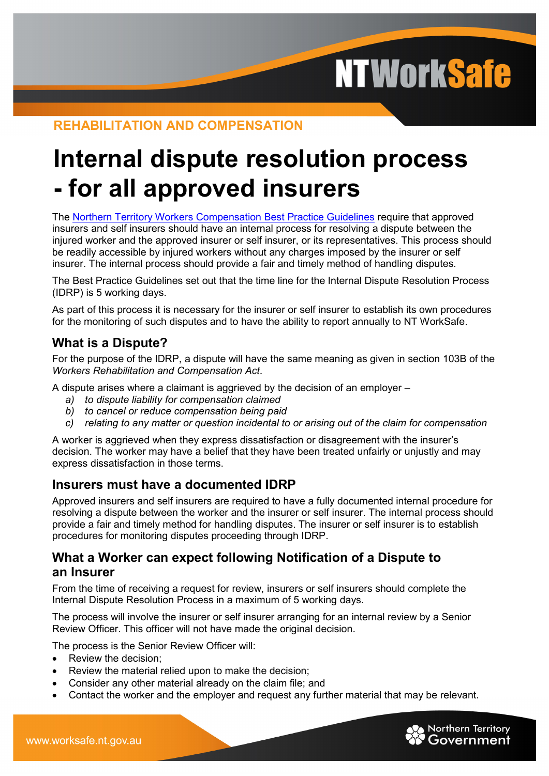**NTWorkSafe** 

# **REHABILITATION AND COMPENSATION**

# **Internal dispute resolution process - for all approved insurers**

The [Northern Territory Workers Compensation Best Practice Guidelines](http://internal.justice.nt.gov.au/ntws/documents/best_practice_guidelines_approved_insurers.pdf) require that approved insurers and self insurers should have an internal process for resolving a dispute between the injured worker and the approved insurer or self insurer, or its representatives. This process should be readily accessible by injured workers without any charges imposed by the insurer or self insurer. The internal process should provide a fair and timely method of handling disputes.

The Best Practice Guidelines set out that the time line for the Internal Dispute Resolution Process (IDRP) is 5 working days.

As part of this process it is necessary for the insurer or self insurer to establish its own procedures for the monitoring of such disputes and to have the ability to report annually to NT WorkSafe.

# **What is a Dispute?**

For the purpose of the IDRP, a dispute will have the same meaning as given in section 103B of the *Workers Rehabilitation and Compensation Act*.

A dispute arises where a claimant is aggrieved by the decision of an employer –

- *a) to dispute liability for compensation claimed*
- *b) to cancel or reduce compensation being paid*
- *c) relating to any matter or question incidental to or arising out of the claim for compensation*

A worker is aggrieved when they express dissatisfaction or disagreement with the insurer's decision. The worker may have a belief that they have been treated unfairly or unjustly and may express dissatisfaction in those terms.

#### **Insurers must have a documented IDRP**

Approved insurers and self insurers are required to have a fully documented internal procedure for resolving a dispute between the worker and the insurer or self insurer. The internal process should provide a fair and timely method for handling disputes. The insurer or self insurer is to establish procedures for monitoring disputes proceeding through IDRP.

### **What a Worker can expect following Notification of a Dispute to an Insurer**

From the time of receiving a request for review, insurers or self insurers should complete the Internal Dispute Resolution Process in a maximum of 5 working days.

The process will involve the insurer or self insurer arranging for an internal review by a Senior Review Officer. This officer will not have made the original decision.

The process is the Senior Review Officer will:

- Review the decision:
- Review the material relied upon to make the decision;
- Consider any other material already on the claim file; and
- Contact the worker and the employer and request any further material that may be relevant.